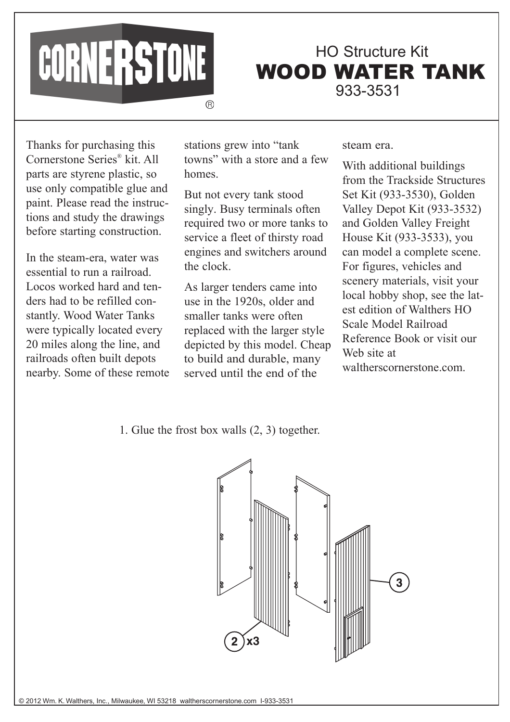

WOOD WATER TANK HO Structure Kit 933-3531

Thanks for purchasing this Cornerstone Series® kit. All parts are styrene plastic, so use only compatible glue and paint. Please read the instructions and study the drawings before starting construction.

In the steam-era, water was essential to run a railroad. Locos worked hard and tenders had to be refilled constantly. Wood Water Tanks were typically located every 20 miles along the line, and railroads often built depots nearby. Some of these remote stations grew into "tank towns" with a store and a few homes.

But not every tank stood singly. Busy terminals often required two or more tanks to service a fleet of thirsty road engines and switchers around the clock.

As larger tenders came into use in the 1920s, older and smaller tanks were often replaced with the larger style depicted by this model. Cheap to build and durable, many served until the end of the

## steam era.

With additional buildings from the Trackside Structures Set Kit (933-3530), Golden Valley Depot Kit (933-3532) and Golden Valley Freight House Kit (933-3533), you can model a complete scene. For figures, vehicles and scenery materials, visit your local hobby shop, see the latest edition of Walthers HO Scale Model Railroad Reference Book or visit our Web site at waltherscornerstone.com.

1. Glue the frost box walls (2, 3) together.

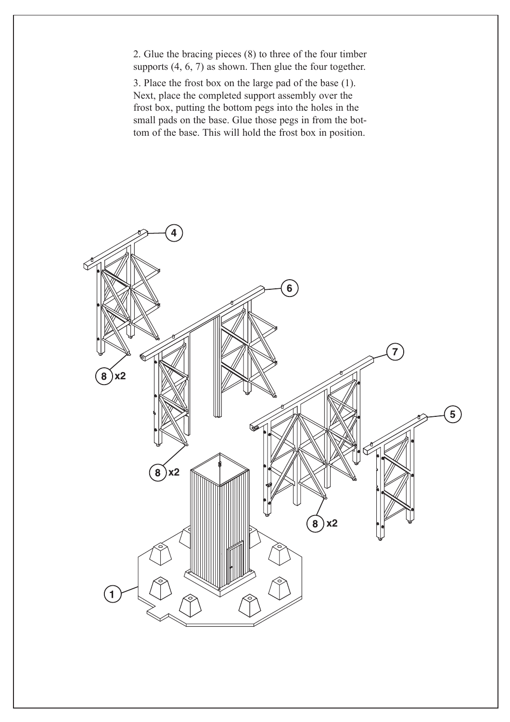2. Glue the bracing pieces (8) to three of the four timber supports  $(4, 6, 7)$  as shown. Then glue the four together.

3. Place the frost box on the large pad of the base (1). Next, place the completed support assembly over the frost box, putting the bottom pegs into the holes in the small pads on the base. Glue those pegs in from the bottom of the base. This will hold the frost box in position.

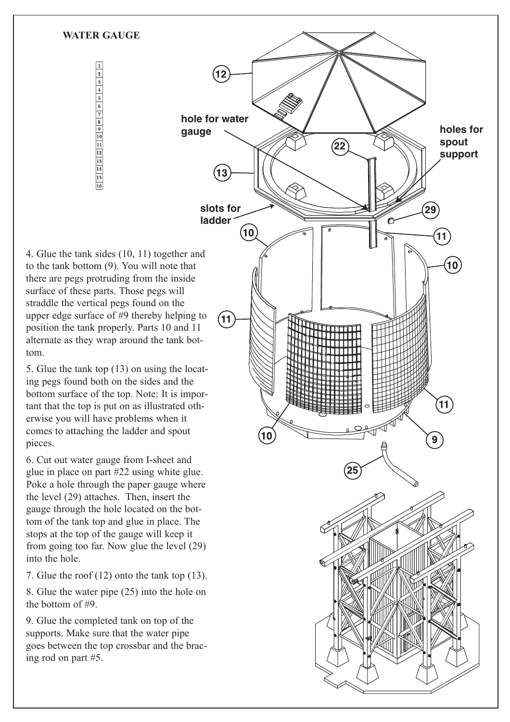4. Glue the tank sides (10, 11) together and to the tank bottom (9). You will note that there are pegs protruding from the inside surface of these parts. Those pegs will straddle the vertical pegs found on the upper edge surface of #9 thereby helping to position the tank properly. Parts 10 and 11 alternate as they wrap around the tank bottom.

**WATER GAUGE** 

 $\frac{1}{2}$   $\frac{2}{3}$   $\frac{3}{4}$   $\frac{4}{5}$   $\frac{5}{16}$   $\frac{4}{16}$   $\frac{5}{16}$   $\frac{6}{16}$   $\frac{7}{16}$   $\frac{8}{16}$   $\frac{9}{10}$   $\frac{1}{16}$   $\frac{1}{16}$   $\frac{1}{16}$ 

5. Glue the tank top (13) on using the locating pegs found both on the sides and the bottom surface of the top. Note: It is important that the top is put on as illustrated otherwise you will have problems when it comes to attaching the ladder and spout pieces.

6. Cut out water gauge from I-sheet and glue in place on part #22 using white glue. Poke a hole through the paper gauge where the level (29) attaches. Then, insert the gauge through the hole located on the bottom of the tank top and glue in place. The stops at the top of the gauge will keep it from going too far. Now glue the level (29) into the hole.

7. Glue the roof (12) onto the tank top (13).

8. Glue the water pipe (25) into the hole on the bottom of #9.

9. Glue the completed tank on top of the supports. Make sure that the water pipe goes between the top crossbar and the bracing rod on part #5.